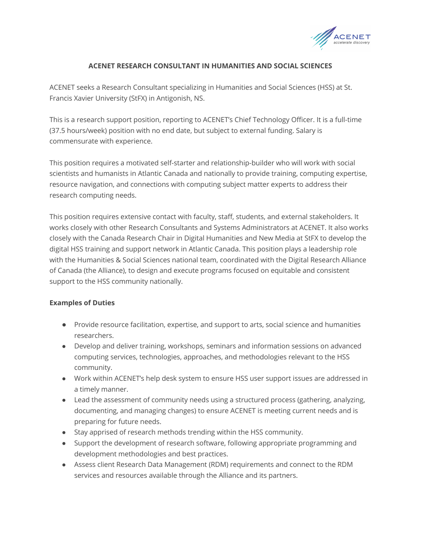

# **ACENET RESEARCH CONSULTANT IN HUMANITIES AND SOCIAL SCIENCES**

ACENET seeks a Research Consultant specializing in Humanities and Social Sciences (HSS) at St. Francis Xavier University (StFX) in Antigonish, NS.

This is a research support position, reporting to ACENET's Chief Technology Officer. It is a full-time (37.5 hours/week) position with no end date, but subject to external funding. Salary is commensurate with experience.

This position requires a motivated self-starter and relationship-builder who will work with social scientists and humanists in Atlantic Canada and nationally to provide training, computing expertise, resource navigation, and connections with computing subject matter experts to address their research computing needs.

This position requires extensive contact with faculty, staff, students, and external stakeholders. It works closely with other Research Consultants and Systems Administrators at ACENET. It also works closely with the Canada Research Chair in Digital Humanities and New Media at StFX to develop the digital HSS training and support network in Atlantic Canada. This position plays a leadership role with the Humanities & Social Sciences national team, coordinated with the Digital Research Alliance of Canada (the Alliance), to design and execute programs focused on equitable and consistent support to the HSS community nationally.

## **Examples of Duties**

- Provide resource facilitation, expertise, and support to arts, social science and humanities researchers.
- Develop and deliver training, workshops, seminars and information sessions on advanced computing services, technologies, approaches, and methodologies relevant to the HSS community.
- Work within ACENET's help desk system to ensure HSS user support issues are addressed in a timely manner.
- Lead the assessment of community needs using a structured process (gathering, analyzing, documenting, and managing changes) to ensure ACENET is meeting current needs and is preparing for future needs.
- Stay apprised of research methods trending within the HSS community.
- Support the development of research software, following appropriate programming and development methodologies and best practices.
- Assess client Research Data Management (RDM) requirements and connect to the RDM services and resources available through the Alliance and its partners.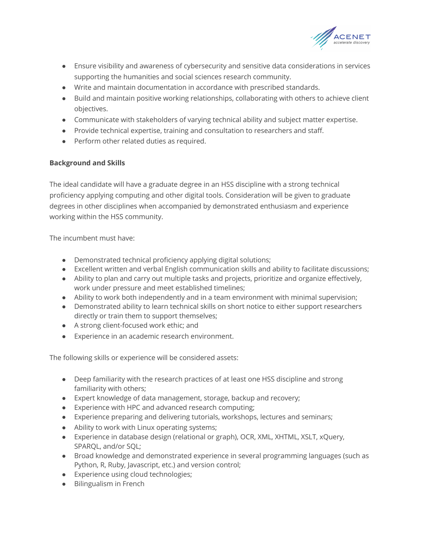

- Ensure visibility and awareness of cybersecurity and sensitive data considerations in services supporting the humanities and social sciences research community.
- Write and maintain documentation in accordance with prescribed standards.
- Build and maintain positive working relationships, collaborating with others to achieve client objectives.
- Communicate with stakeholders of varying technical ability and subject matter expertise.
- Provide technical expertise, training and consultation to researchers and staff.
- Perform other related duties as required.

# **Background and Skills**

The ideal candidate will have a graduate degree in an HSS discipline with a strong technical proficiency applying computing and other digital tools. Consideration will be given to graduate degrees in other disciplines when accompanied by demonstrated enthusiasm and experience working within the HSS community.

The incumbent must have:

- Demonstrated technical proficiency applying digital solutions;
- Excellent written and verbal English communication skills and ability to facilitate discussions;
- Ability to plan and carry out multiple tasks and projects, prioritize and organize effectively, work under pressure and meet established timelines;
- Ability to work both independently and in a team environment with minimal supervision;
- Demonstrated ability to learn technical skills on short notice to either support researchers directly or train them to support themselves;
- A strong client-focused work ethic; and
- Experience in an academic research environment.

The following skills or experience will be considered assets:

- Deep familiarity with the research practices of at least one HSS discipline and strong familiarity with others;
- Expert knowledge of data management, storage, backup and recovery;
- Experience with HPC and advanced research computing;
- Experience preparing and delivering tutorials, workshops, lectures and seminars;
- Ability to work with Linux operating systems;
- Experience in database design (relational or graph), OCR, XML, XHTML, XSLT, xQuery, SPARQL, and/or SQL;
- Broad knowledge and demonstrated experience in several programming languages (such as Python, R, Ruby, Javascript, etc.) and version control;
- Experience using cloud technologies;
- Bilingualism in French